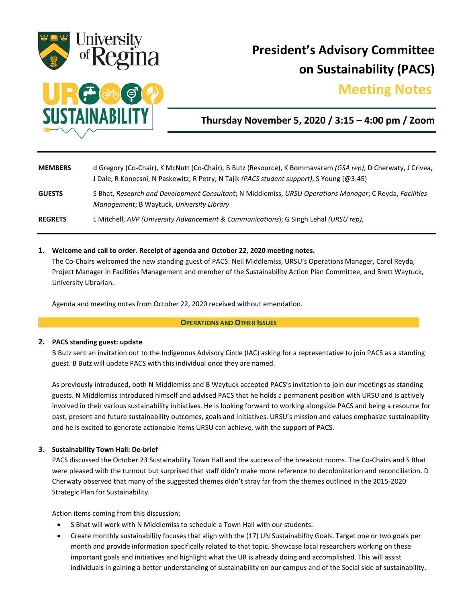

# **President's Advisory Committee on Sustainability (PACS)**

## **Meeting Notes.**



**Thursday November 5, 2020 / 3:15 – 4:00 pm / Zoom**

| <b>MEMBERS</b> | d Gregory (Co-Chair), K McNutt (Co-Chair), B Butz (Resource), K Bommavaram (GSA rep), D Cherwaty, J Crivea,<br>J Dale, R Konecsni, N Paskewitz, R Petry, N Tajik (PACS student support), S Young (@3:45) |
|----------------|----------------------------------------------------------------------------------------------------------------------------------------------------------------------------------------------------------|
| <b>GUESTS</b>  | S Bhat, Research and Development Consultant; N Middlemiss, URSU Operations Manager; C Reyda, Facilities<br>Management; B Waytuck, University Library                                                     |
| <b>REGRETS</b> | L Mitchell, AVP (University Advancement & Communications); G Singh Lehal (URSU rep),                                                                                                                     |

#### **1. Welcome and call to order. Receipt of agenda and October 22, 2020 meeting notes.**

The Co-Chairs welcomed the new standing guest of PACS: Neil Middlemiss, URSU's Operations Manager, Carol Reyda, Project Manager in Facilities Management and member of the Sustainability Action Plan Committee, and Brett Waytuck, University Librarian.

Agenda and meeting notes from October 22, 2020 received without emendation.

#### **OPERATIONS AND OTHER ISSUES**

#### **2. PACS standing guest: update**

B Butz sent an invitation out to the Indigenous Advisory Circle (IAC) asking for a representative to join PACS as a standing guest. B Butz will update PACS with this individual once they are named.

As previously introduced, both N Middlemiss and B Waytuck accepted PACS's invitation to join our meetings as standing guests. N Middlemiss introduced himself and advised PACS that he holds a permanent position with URSU and is actively involved in their various sustainability initiatives. He is looking forward to working alongside PACS and being a resource for past, present and future sustainability outcomes, goals and initiatives. URSU's mission and values emphasize sustainability and he is excited to generate actionable items URSU can achieve, with the support of PACS.

#### **3. Sustainability Town Hall: De-brief**

PACS discussed the October 23 Sustainability Town Hall and the success of the breakout rooms. The Co-Chairs and S Bhat were pleased with the turnout but surprised that staff didn't make more reference to decolonization and reconciliation. D Cherwaty observed that many of the suggested themes didn't stray far from the themes outlined in the 2015-2020 Strategic Plan for Sustainability.

Action items coming from this discussion:

- S Bhat will work with N Middlemiss to schedule a Town Hall with our students.
- Create monthly sustainability focuses that align with the (17) UN Sustainability Goals. Target one or two goals per month and provide information specifically related to that topic. Showcase local researchers working on these important goals and initiatives and highlight what the UR is already doing and accomplished. This will assist individuals in gaining a better understanding of sustainability on our campus and of the Social side of sustainability.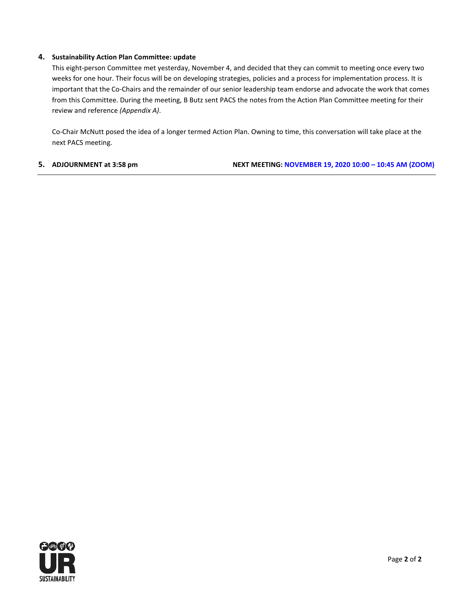#### **4. Sustainability Action Plan Committee: update**

This eight-person Committee met yesterday, November 4, and decided that they can commit to meeting once every two weeks for one hour. Their focus will be on developing strategies, policies and a process for implementation process. It is important that the Co-Chairs and the remainder of our senior leadership team endorse and advocate the work that comes from this Committee. During the meeting, B Butz sent PACS the notes from the Action Plan Committee meeting for their review and reference *(Appendix A)*.

Co-Chair McNutt posed the idea of a longer termed Action Plan. Owning to time, this conversation will take place at the next PACS meeting.

**5. ADJOURNMENT at 3:58 pm NEXT MEETING: NOVEMBER 19, 2020 10:00 – 10:45 AM (ZOOM)**

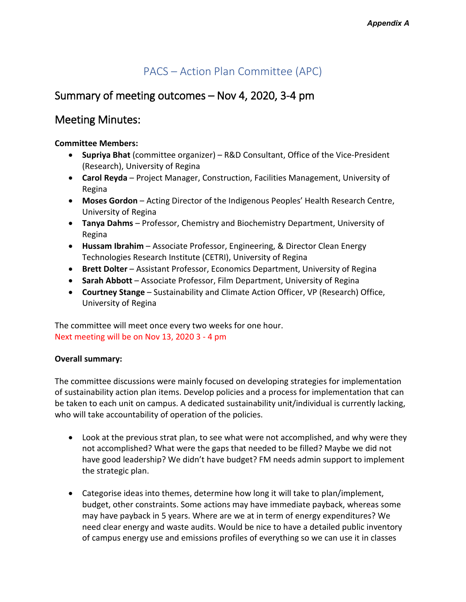## PACS – Action Plan Committee (APC)

## Summary of meeting outcomes – Nov 4, 2020, 3-4 pm

## Meeting Minutes:

### **Committee Members:**

- **Supriya Bhat** (committee organizer) R&D Consultant, Office of the Vice-President (Research), University of Regina
- **Carol Reyda** Project Manager, Construction, Facilities Management, University of Regina
- **Moses Gordon** Acting Director of the Indigenous Peoples' Health Research Centre, University of Regina
- **Tanya Dahms** Professor, Chemistry and Biochemistry Department, University of Regina
- **Hussam Ibrahim** Associate Professor, Engineering, & Director Clean Energy Technologies Research Institute (CETRI), University of Regina
- **Brett Dolter** Assistant Professor, Economics Department, University of Regina
- **Sarah Abbott** Associate Professor, Film Department, University of Regina
- **Courtney Stange** Sustainability and Climate Action Officer, VP (Research) Office, University of Regina

The committee will meet once every two weeks for one hour. Next meeting will be on Nov 13, 2020 3 - 4 pm

### **Overall summary:**

The committee discussions were mainly focused on developing strategies for implementation of sustainability action plan items. Develop policies and a process for implementation that can be taken to each unit on campus. A dedicated sustainability unit/individual is currently lacking, who will take accountability of operation of the policies.

- Look at the previous strat plan, to see what were not accomplished, and why were they not accomplished? What were the gaps that needed to be filled? Maybe we did not have good leadership? We didn't have budget? FM needs admin support to implement the strategic plan.
- Categorise ideas into themes, determine how long it will take to plan/implement, budget, other constraints. Some actions may have immediate payback, whereas some may have payback in 5 years. Where are we at in term of energy expenditures? We need clear energy and waste audits. Would be nice to have a detailed public inventory of campus energy use and emissions profiles of everything so we can use it in classes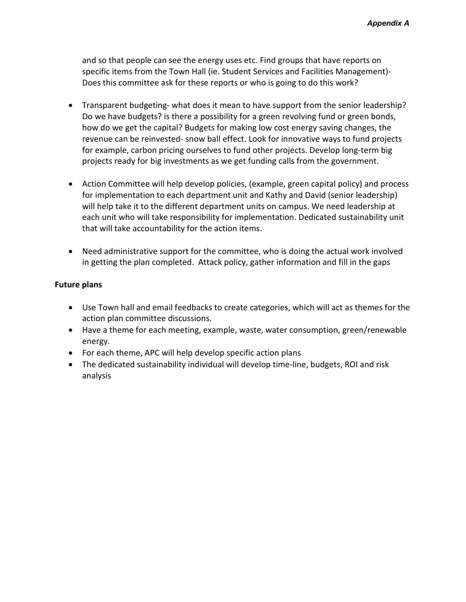and so that people can see the energy uses etc. Find groups that have reports on specific items from the Town Hall (ie. Student Services and Facilities Management)- Does this committee ask for these reports or who is going to do this work?

- Transparent budgeting- what does it mean to have support from the senior leadership? Do we have budgets? is there a possibility for a green revolving fund or green bonds, how do we get the capital? Budgets for making low cost energy saving changes, the revenue can be reinvested- snow ball effect. Look for innovative ways to fund projects for example, carbon pricing ourselves to fund other projects. Develop long-term big projects ready for big investments as we get funding calls from the government.
- Action Committee will help develop policies, (example, green capital policy) and process for implementation to each department unit and Kathy and David (senior leadership) will help take it to the different department units on campus. We need leadership at each unit who will take responsibility for implementation. Dedicated sustainability unit that will take accountability for the action items.
- Need administrative support for the committee, who is doing the actual work involved in getting the plan completed. Attack policy, gather information and fill in the gaps

### **Future plans**

- Use Town hall and email feedbacks to create categories, which will act as themes for the action plan committee discussions.
- Have a theme for each meeting, example, waste, water consumption, green/renewable energy.
- For each theme, APC will help develop specific action plans
- The dedicated sustainability individual will develop time-line, budgets, ROI and risk analysis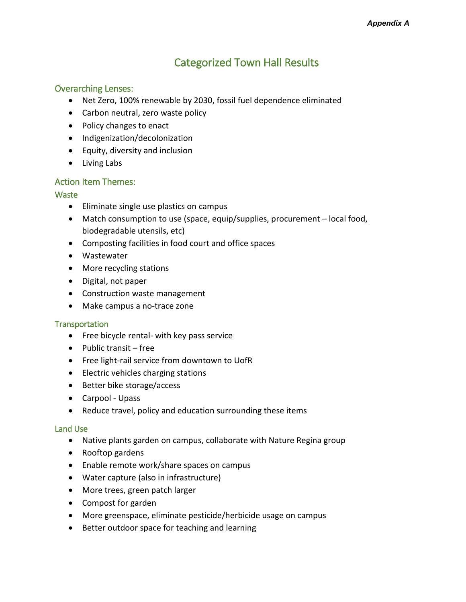## Categorized Town Hall Results

### Overarching Lenses:

- Net Zero, 100% renewable by 2030, fossil fuel dependence eliminated
- Carbon neutral, zero waste policy
- Policy changes to enact
- Indigenization/decolonization
- Equity, diversity and inclusion
- Living Labs

### Action Item Themes:

#### **Waste**

- Eliminate single use plastics on campus
- Match consumption to use (space, equip/supplies, procurement local food, biodegradable utensils, etc)
- Composting facilities in food court and office spaces
- Wastewater
- More recycling stations
- Digital, not paper
- Construction waste management
- Make campus a no-trace zone

#### **Transportation**

- Free bicycle rental- with key pass service
- Public transit free
- Free light-rail service from downtown to UofR
- Electric vehicles charging stations
- Better bike storage/access
- Carpool Upass
- Reduce travel, policy and education surrounding these items

#### Land Use

- Native plants garden on campus, collaborate with Nature Regina group
- Rooftop gardens
- Enable remote work/share spaces on campus
- Water capture (also in infrastructure)
- More trees, green patch larger
- Compost for garden
- More greenspace, eliminate pesticide/herbicide usage on campus
- Better outdoor space for teaching and learning